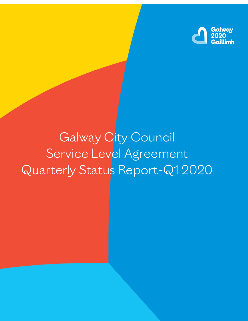

# Galway City Council Service Level Agreement Quarterly Status Report-Q1 2020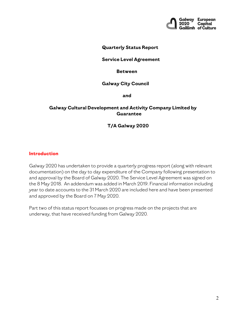

#### **Quarterly Status Report**

#### **Service Level Agreement**

#### **Between**

#### **Galway City Council**

 **and**

#### **Galway Cultural Development and Activity Company Limited by Guarantee**

#### **T/A Galway 2020**

#### **Introduction**

Galway 2020 has undertaken to provide a quarterly progress report (along with relevant documentation) on the day to day expenditure of the Company following presentation to and approval by the Board of Galway 2020. The Service Level Agreement was signed on the 8 May 2018. An addendum was added in March 2019. Financial information including year to date accounts to the 31 March 2020 are included here and have been presented and approved by the Board on 7 May 2020.

Part two of this status report focusses on progress made on the projects that are underway, that have received funding from Galway 2020.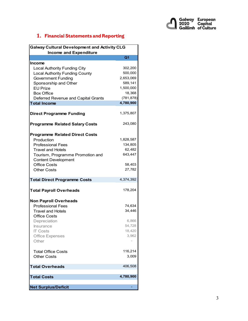

## **1. Financial Statements and Reporting**

| <b>Galway Cultural Development and Activity CLG</b> |                |  |
|-----------------------------------------------------|----------------|--|
| <b>Income and Expenditure</b>                       |                |  |
|                                                     | Q <sub>1</sub> |  |
| <b>Income</b>                                       |                |  |
| <b>Local Authority Funding City</b>                 | 302,200        |  |
| <b>Local Authority Funding County</b>               | 500,000        |  |
| <b>Government Funding</b>                           | 2,653,069      |  |
| Sponsorship and Other                               | 589,141        |  |
| <b>EU Prize</b>                                     | 1,500,000      |  |
| <b>Box Office</b>                                   | 18,368         |  |
| Deferred Revenue and Capital Grants                 | (781, 878)     |  |
| <b>Total Income</b>                                 | 4,780,900      |  |
|                                                     |                |  |
| <b>Direct Programme Funding</b>                     | 1,375,807      |  |
|                                                     |                |  |
|                                                     |                |  |
| <b>Programme Related Salary Costs</b>               | 243,080        |  |
|                                                     |                |  |
| <b>Programme Related Direct Costs</b>               |                |  |
| Production                                          | 1,828,587      |  |
| <b>Professional Fees</b>                            | 134,805        |  |
| <b>Travel and Hotels</b>                            | 62,482         |  |
| Tourism, Programme Promotion and                    | 643,447        |  |
| <b>Content Development</b>                          |                |  |
| <b>Office Costs</b>                                 | 58,403         |  |
| <b>Other Costs</b>                                  | 27,782         |  |
|                                                     |                |  |
| <b>Total Direct Programme Costs</b>                 | 4,374,392      |  |
| <b>Total Payroll Overheads</b>                      | 178,204        |  |
|                                                     |                |  |
| <b>Non Payroll Overheads</b>                        |                |  |
| <b>Professional Fees</b>                            | 74,634         |  |
| <b>Travel and Hotels</b>                            | 34,446         |  |
| <b>Office Costs</b>                                 |                |  |
| Depreciation                                        | 6,866          |  |
| Insurance                                           | 54,728         |  |
| <b>IT Costs</b>                                     | 18,420         |  |
| Office Expenses                                     | 3,962          |  |
| Other                                               |                |  |
|                                                     |                |  |
|                                                     | 116,214        |  |
| <b>Total Office Costs</b><br><b>Other Costs</b>     | 3,009          |  |
|                                                     |                |  |
| <b>Total Overheads</b>                              | 406,508        |  |
|                                                     |                |  |
| <b>Total Costs</b>                                  | 4,780,900      |  |
|                                                     |                |  |
| <b>Net Surplus/Deficit</b>                          |                |  |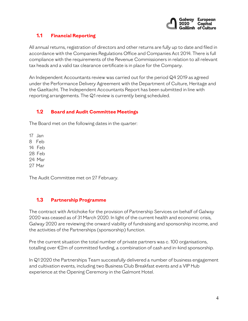

## **1.1 Financial Reporting**

All annual returns, registration of directors and other returns are fully up to date and filed in accordance with the Companies Regulations Office and Companies Act 2014. There is full compliance with the requirements of the Revenue Commissioners in relation to all relevant tax heads and a valid tax clearance certificate is in place for the Company.

An Independent Accountants review was carried out for the period Q4 2019 as agreed under the Performance Delivery Agreement with the Department of Culture, Heritage and the Gaeltacht. The Independent Accountants Report has been submitted in line with reporting arrangements. The Q1 review is currently being scheduled.

## **1.2 Board and Audit Committee Meetings**

The Board met on the following dates in the quarter:

17 Jan

8 Feb

14 Feb

28 Feb

24 Mar

27 Mar

The Audit Committee met on 27 February.

## **1.3 Partnership Programme**

The contract with Artichoke for the provision of Partnership Services on behalf of Galway 2020 was ceased as of 31 March 2020. In light of the current health and economic crisis, Galway 2020 are reviewing the onward viability of fundraising and sponsorship income, and the activities of the Partnerships (sponsorship) function.

Pre the current situation the total number of private partners was c. 100 organisations, totalling over €2m of committed funding, a combination of cash and in-kind sponsorship.

In Q1 2020 the Partnerships Team successfully delivered a number of business engagement and cultivation events, including two Business Club Breakfast events and a VIP Hub experience at the Opening Ceremony in the Galmont Hotel.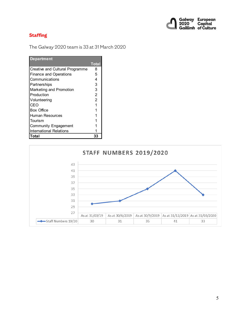

## **Staffing**

The Galway 2020 team is 33 at 31 March 2020

| <b>Department</b>               |       |
|---------------------------------|-------|
|                                 | Total |
| Creative and Cultural Programme | 8     |
| <b>Finance and Operations</b>   | 5     |
| Communications                  | 4     |
| Partnerships                    | 3     |
| Marketing and Promotion         | 3     |
| Production                      | 2     |
| Volunteering                    | 2     |
| CEO                             |       |
| Box Office                      |       |
| Human Resources                 |       |
| Tourism                         |       |
| <b>Community Engagement</b>     |       |
| <b>International Relations</b>  |       |
| Total                           |       |

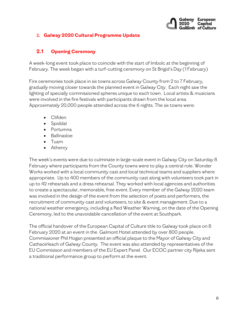

#### **2. Galway 2020 Cultural Programme Update**

## **2.1 Opening Ceremony**

A week-long event took place to coincide with the start of Imbolc at the beginning of February. The week began with a turf-cutting ceremony on St Brigid's Day (1 February)

Fire ceremonies took place in six towns across Galway County from 2 to 7 February, gradually moving closer towards the planned event in Galway City. Each night saw the lighting of specially commissioned spheres unique to each town. Local artists & musicians were involved in the fire festivals with participants drawn from the local area. Approximately 20,000 people attended across the 6 nights. The six towns were:

- Clifden
- Spiddal
- Portumna
- Ballinasloe
- Tuam
- Athenry

The week's events were due to culminate in large-scale event in Galway City on Saturday 8 February where participants from the County towns were to play a central role. Wonder Works worked with a local community cast and local technical teams and suppliers where appropriate. Up to 400 members of the community cast along with volunteers took part in up to 42 rehearsals and a dress rehearsal. They worked with local agencies and authorities to create a spectacular, memorable, free event. Every member of the Galway 2020 team was involved in the design of the event from the selection of poets and performers, the recruitment of community cast and volunteers, to site & event management. Due to a national weather emergency, including a Red Weather Warning, on the date of the Opening Ceremony, led to the unavoidable cancellation of the event at Southpark.

The official handover of the European Capital of Culture title to Galway took place on 8 February 2020 at an event in the Galmont Hotel attended by over 800 people. Commissioner Phil Hogan presented an official plaque to the Mayor of Galway City and Cathaoirleach of Galway County. The event was also attended by representatives of the EU Commisison and members of the EU Expert Panel. Our ECOC partner city Rijeka sent a traditional performance group to perform at the event.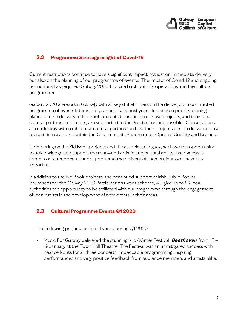

## **2.2 Programme Strategy in light of Covid-19**

Current restrictions continue to have a significant impact not just on immediate delivery but also on the planning of our programme of events. The impact of Covid 19 and ongoing restrictions has required Galway 2020 to scale back both its operations and the cultural programme.

Galway 2020 are working closely with all key stakeholders on the delivery of a contracted programme of events later in the year and early next year. In doing so priority is being placed on the delivery of Bid Book projects to ensure that these projects, and their local cultural partners and artists, are supported to the greatest extent possible. Consultations are underway with each of our cultural partners on how their projects can be delivered on a revised timescale and within the Governments Roadmap for Opening Society and Business.

In delivering on the Bid Book projects and the associated legacy, we have the opportunity to acknowledge and support the renowned artistic and cultural ability that Galway is home to at a time when such support and the delivery of such projects was never as important.

In addition to the Bid Book projects, the continued support of Irish Public Bodies Insurances for the Galway 2020 Participation Grant scheme, will give up to 29 local authorities the opportunity to be affiliated with our programme through the engagement of local artists in the development of new events in their areas.

## **2.3 Cultural Programme Events Q1 2020**

The following projects were delivered during Q1 2020

• Music For Galway delivered the stunning Mid-Winter Festival, **Beethoven** from 17 – 19 January at the Town Hall Theatre. The Festival was an unmitigated success with near sell-outs for all three concerts, impeccable programming, inspiring performances and very positive feedback from audience members and artists alike.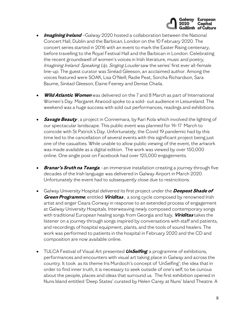

- **Imagining Ireland** –Galway 2020 hosted a collaboration between the National Concert Hall, Dublin and the Barbican, London on the 10 February 2020. The concert series started in 2016 with an event to mark the Easter Rising centenary, before travelling to the Royal Festival Hall and the Barbican in London. Celebrating the recent groundswell of women's voices in Irish literature, music and poetry, [Imagining](https://galway2020.ie/en/projects/imagining-ireland/) Ireland: Speaking Up, Singing Louder saw the series' first ever all-female line-up. The guest curator was Sinéad Gleeson, an acclaimed author. Among the voices featured were SOAK, Lisa O'Neill, Radie Peat, Sorcha Richardson, Sara Baume, Sinéad Gleeson, Elaine Feeney and Denise Chaila.
- **Wild Atlantic Women** was delivered on the 7 and 8 March as part of International Women's Day. Margaret Atwood spoke to a sold- out audience in Leisureland. The weekend was a huge success with sold out performances, readings and exhibitions.
- **Savage Beauty** , a project in Connemara, by Kari Kola which involved the lighting of our spectacular landscape. This public event was planned for 14-17 March to coincide with St Patrick's Day. Unfortunately, the Covid 19 pandemic had by this time led to the cancellation of several events with this significant project being just one of the casualties. While unable to allow public viewing of the event, the artwork was made available as a digital edition. The work was viewed by over 150,000 online. One single post on Facebook had over 125,000 engagements.
- **Branar's Sruth na Teanga** an immersive installation creating a journey through five decades of the Irish language was delivered in Galway Airport in March 2020. Unfortunately the event had to subsequently close due to restricitions.
- Galway University Hospital delivered its first project under the **Deepest Shade of Green Programme**, entitled **Viriditas** , a song cycle composed by renowned Irish artist and singer Ceara Conway in response to an extended process of engagement at Galway University Hospitals. Interweaving newly composed contemporary songs with traditional European healing songs from Georgia and Italy, **Viriditas** takes the listener on a journey through songs inspired by conversations with staff and patients, and recordings of hospital equipment, plants, and the tools of sound healers. The work was performed to patients in the hospital in February 2020 and the CD and composition are now available online.
- [TULCA Festival of Visual Art](https://www.tulca.ie/) presented **UnSelfing**; a programme of exhibitions, performances and encounters with visual art taking place in Galway and across the country. It took as its theme Iris Murdoch's concept of 'UnSelfing'; the idea that in order to find inner truth, it is necessary to seek outside of one's self; to be curious about the people, places and ideas that surround us. The first exhibition opened in Nuns Island entitled 'Deep States' curated by Helen Carey at Nuns' Island Theatre. A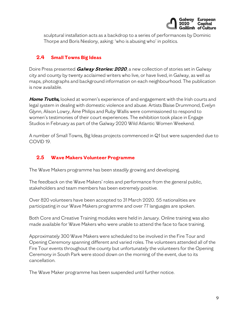

sculptural installation acts as a backdrop to a series of performances by Dominic Thorpe and Boris Nieslony, asking: 'who is abusing who' in politics.

## **2.4 Small Towns Big Ideas**

Doire Press presented **Galway Stories: 2020**, a new collection of stories set in Galway city and county by twenty acclaimed writers who live, or have lived, in Galway, as well as maps, photographs and background information on each neighbourhood. The publication is now available.

**Home [Truths](https://galway2020.ie/en/projects/home-truths/),** looked at women's experience of and engagement with the Irish courts and legal system in dealing with domestic violence and abuse. Artists Blaise Drummond, Evelyn Glynn, Alison Lowry, Áine Philips and Ruby Wallis were commissioned to respond to women's testimonies of their court experiences. The exhibition took place in Engage Studios in February as part of the Galway 2020 Wild Atlantic Women Weekend.

A number of Small Towns, Big Ideas projects commenced in Q1 but were suspended due to COVID 19.

## **2.5 Wave Makers Volunteer Programme**

The Wave Makers programme has been steadily growing and developing.

The feedback on the Wave Makers' roles and performance from the general public, stakeholders and team members has been extremely positive.

Over 820 volunteers have been accepted to 31 March 2020. 55 nationalities are participating in our Wave Makers programme and over 77 languages are spoken.

Both Core and Creative Training modules were held in January. Online training was also made available for Wave Makers who were unable to attend the face to face training.

Approximately 300 Wave Makers were scheduled to be involved in the Fire Tour and Opening Ceremony spanning different and varied roles. The volunteers attended all of the Fire Tour events throughout the county but unfortunately the volunteers for the Opening Ceremony in South Park were stood down on the morning of the event, due to its cancellation.

The Wave Maker programme has been suspended until further notice.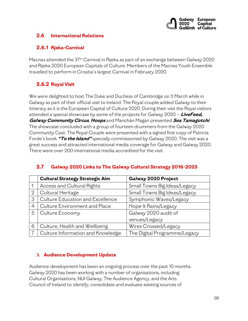

## **2.6 International Relations**

## **2.6.1 Rjeka-Carnival**

Macnas attended the 37th Carnival in Rijeka as part of an exchange between Galway 2020 and Rijeka 2020 European Capitals of Culture. Members of the Macnas Youth Ensemble travelled to perform in Croatia's largest Carnival in February 2020.

## **2.6.2 Royal Visit**

We were delighted to host The Duke and Duchess of Cambridge on 5 March while in Galway as part of their official visit to Ireland. The Royal couple added Galway to their itinerary as it is the European Capital of Culture 2020. During their visit the Royal visitors attended a special showcase by some of the projects for Galway 2020 – **LiveFeed, Galway Community Circus**, **Hoops** and Manchán Magan presented **Sea Tamagotchi**. The showcase concluded with a group of fourteen drummers from the Galway 2020 Community Cast. The Royal Couple were presented with a signed first copy of Patricia Forde's book **"To the Island"** specially commissioned by Galway 2020. The visit was a great success and attracted international media coverage for Galway and Galway 2020. There were over 200 international media accredited for the visit.

|                | <b>Cultural Strategy Strategic Aim</b> | Galway 2020 Project          |
|----------------|----------------------------------------|------------------------------|
|                | Access and Cultural Rights             | Small Towns Big Ideas/Legacy |
| $\overline{2}$ | Cultural Heritage                      | Small Towns Big Ideas/Legacy |
| 3              | Culture Education and Excellence       | Symphonic Waves/Legacy       |
| 4              | Culture Environment and Place          | Hope It Rains/Legacy         |
| 5              | Culture Economy                        | Galway 2020 audit of         |
|                |                                        | venues/Legacy                |
| 6              | Culture, Health and Wellbeing          | Wires Crossed/Legacy         |
|                | Culture Information and Knowledge      | The Digital Programme/Legacy |

## **2.7 Galway 2020 Links to The Galway Cultural Strategy 2016-2025**

#### **3. Audience Development Update**

Audience development has been an ongoing process over the past 10 months. Galway 2020 has been working with a number of organisations, including Cultural Organisations, NUI Galway, The Audience Agency, and the Arts Council of Ireland to identify, consolidate and evaluate existing sources of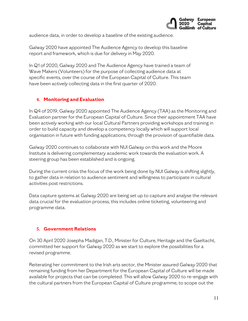

audience data, in order to develop a baseline of the existing audience.

Galway 2020 have appointed The Audience Agency to develop this baseline report and framework, which is due for delivery in May 2020.

In Q1 of 2020, Galway 2020 and The Audience Agency have trained a team of Wave Makers (Volunteers) for the purpose of collecting audience data at specific events, over the course of the European Capital of Culture. This team have been actively collecting data in the first quarter of 2020.

#### **4. Monitoring and Evaluation**

In Q4 of 2019, Galway 2020 appointed The Audience Agency (TAA) as the Monitoring and Evaluation partner for the European Capital of Culture. Since their appointment TAA have been actively working with our local Cultural Partners providing workshops and training in order to build capacity and develop a competency locally which will support local organisation in future with funding applications, through the provision of quantifiable data.

Galway 2020 continues to collaborate with NUI Galway on this work and the Moore Institute is delivering complementary academic work towards the evaluation work. A steering group has been established and is ongoing.

During the current crisis the focus of the work being done by NUI Galway is shifting slightly, to gather data in relation to audience sentiment and willingness to participate in cultural activities post restrictions.

Data capture systems at Galway 2020 are being set up to capture and analyse the relevant data crucial for the evaluation process, this includes online ticketing, volunteering and programme data.

#### **5. Government Relations**

On 30 April 2020 Josepha Madigan, T.D., Minister for Culture, Heritage and the Gaeltacht, committed her support for Galway 2020 as we start to explore the possibilities for a revised programme.

Reiterating her commitment to the Irish arts sector, the Minister assured Galway 2020 that remaining funding from her Department for the European Capital of Culture will be made available for projects that can be completed. This will allow Galway 2020 to re-engage with the cultural partners from the European Capital of Culture programme, to scope out the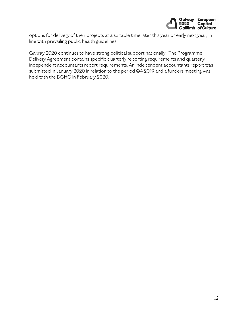

options for delivery of their projects at a suitable time later this year or early next year, in line with prevailing public health guidelines.

Galway 2020 continues to have strong political support nationally. The Programme Delivery Agreement contains specific quarterly reporting requirements and quarterly independent accountants report requirements. An independent accountants report was submitted in January 2020 in relation to the period Q4 2019 and a funders meeting was held with the DCHG in February 2020.